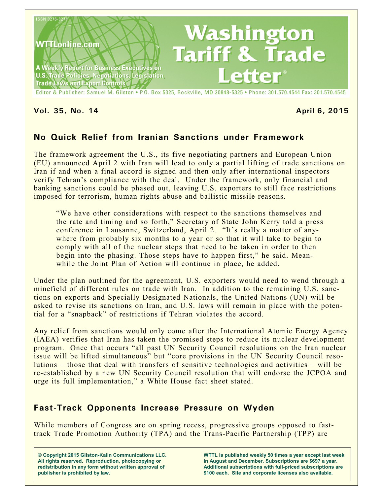

#### **Vol. 35, No. 14 April 6, 2015**

# **No Quick Relief from Iranian Sanctions under Framework**

The framework agreement the U.S., its five negotiating partners and European Union (EU) announced April 2 with Iran will lead to only a partial lifting of trade sanctions on Iran if and when a final accord is signed and then only after international inspectors verify Tehran's compliance with the deal. Under the framework, only financial and banking sanctions could be phased out, leaving U.S. exporters to still face restrictions imposed for terrorism, human rights abuse and ballistic missile reasons.

"We have other considerations with respect to the sanctions themselves and the rate and timing and so forth," Secretary of State John Kerry told a press conference in Lausanne, Switzerland, April 2. "It's really a matter of anywhere from probably six months to a year or so that it will take to begin to comply with all of the nuclear steps that need to be taken in order to then begin into the phasing. Those steps have to happen first," he said. Meanwhile the Joint Plan of Action will continue in place, he added.

Under the plan outlined for the agreement, U.S. exporters would need to wend through a minefield of different rules on trade with Iran. In addition to the remaining U.S. sanctions on exports and Specially Designated Nationals, the United Nations (UN) will be asked to revise its sanctions on Iran, and U.S. laws will remain in place with the potential for a "snapback" of restrictions if Tehran violates the accord.

Any relief from sanctions would only come after the International Atomic Energy Agency (IAEA) verifies that Iran has taken the promised steps to reduce its nuclear development program. Once that occurs "all past UN Security Council resolutions on the Iran nuclear issue will be lifted simultaneous" but "core provisions in the UN Security Council resolutions – those that deal with transfers of sensitive technologies and activities – will be re-established by a new UN Security Council resolution that will endorse the JCPOA and urge its full implementation," a White House fact sheet stated.

## **Fast-Track Opponents Increase Pressure on Wyden**

While members of Congress are on spring recess, progressive groups opposed to fasttrack Trade Promotion Authority (TPA) and the Trans-Pacific Partnership (TPP) are

**© Copyright 2015 Gilston-Kalin Communications LLC. All rights reserved. Reproduction, photocopying or redistribution in any form without written approval of publisher is prohibited by law.** 

**WTTL is published weekly 50 times a year except last week in August and December. Subscriptions are \$697 a year. Additional subscriptions with full-priced subscriptions are \$100 each. Site and corporate licenses also available.**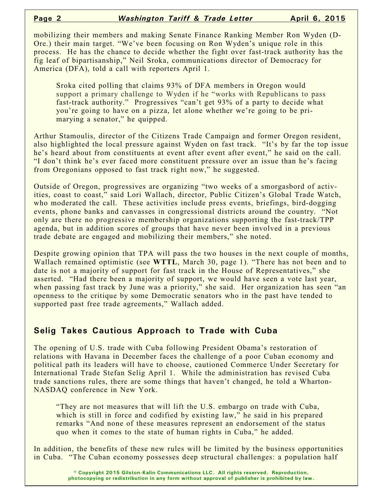mobilizing their members and making Senate Finance Ranking Member Ron Wyden (D-Ore.) their main target. "We've been focusing on Ron Wyden's unique role in this process. He has the chance to decide whether the fight over fast-track authority has the fig leaf of bipartisanship," Neil Sroka, communications director of Democracy for America (DFA), told a call with reporters April 1.

Sroka cited polling that claims 93% of DFA members in Oregon would support a primary challenge to Wyden if he "works with Republicans to pass fast-track authority." Progressives "can't get 93% of a party to decide what you're going to have on a pizza, let alone whether we're going to be primarying a senator," he quipped.

Arthur Stamoulis, director of the Citizens Trade Campaign and former Oregon resident, also highlighted the local pressure against Wyden on fast track. "It's by far the top issue he's heard about from constituents at event after event after event," he said on the call. "I don't think he's ever faced more constituent pressure over an issue than he's facing from Oregonians opposed to fast track right now," he suggested.

Outside of Oregon, progressives are organizing "two weeks of a smorgasbord of activities, coast to coast," said Lori Wallach, director, Public Citizen's Global Trade Watch, who moderated the call. These activities include press events, briefings, bird-dogging events, phone banks and canvasses in congressional districts around the country. "Not only are there no progressive membership organizations supporting the fast-track/TPP agenda, but in addition scores of groups that have never been involved in a previous trade debate are engaged and mobilizing their members," she noted.

Despite growing opinion that TPA will pass the two houses in the next couple of months, Wallach remained optimistic (see **WTTL**, March 30, page 1). "There has not been and to date is not a majority of support for fast track in the House of Representatives," she asserted. "Had there been a majority of support, we would have seen a vote last year, when passing fast track by June was a priority," she said. Her organization has seen "an openness to the critique by some Democratic senators who in the past have tended to supported past free trade agreements," Wallach added.

#### **Selig Takes Cautious Approach to Trade with Cuba**

The opening of U.S. trade with Cuba following President Obama's restoration of relations with Havana in December faces the challenge of a poor Cuban economy and political path its leaders will have to choose, cautioned Commerce Under Secretary for International Trade Stefan Selig April 1. While the administration has revised Cuba trade sanctions rules, there are some things that haven't changed, he told a Wharton-NASDAQ conference in New York.

"They are not measures that will lift the U.S. embargo on trade with Cuba, which is still in force and codified by existing law," he said in his prepared remarks "And none of these measures represent an endorsement of the status quo when it comes to the state of human rights in Cuba," he added.

In addition, the benefits of these new rules will be limited by the business opportunities in Cuba. "The Cuban economy possesses deep structural challenges: a population half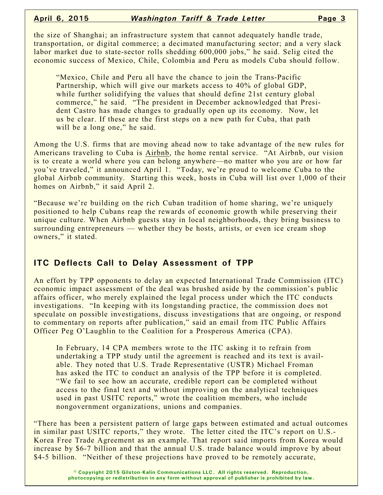the size of Shanghai; an infrastructure system that cannot adequately handle trade, transportation, or digital commerce; a decimated manufacturing sector; and a very slack labor market due to state-sector rolls shedding 600,000 jobs," he said. Selig cited the economic success of Mexico, Chile, Colombia and Peru as models Cuba should follow.

"Mexico, Chile and Peru all have the chance to join the Trans-Pacific Partnership, which will give our markets access to 40% of global GDP, while further solidifying the values that should define 21st century global commerce," he said. "The president in December acknowledged that President Castro has made changes to gradually open up its economy. Now, let us be clear. If these are the first steps on a new path for Cuba, that path will be a long one," he said.

Among the U.S. firms that are moving ahead now to take advantage of the new rules for Americans traveling to Cuba is Airbnb, the home rental service. "At Airbnb, our vision is to create a world where you can belong anywhere—no matter who you are or how far you've traveled," it announced April 1. "Today, we're proud to welcome Cuba to the global Airbnb community. Starting this week, hosts in Cuba will list over 1,000 of their homes on Airbnb," it said April 2.

"Because we're building on the rich Cuban tradition of home sharing, we're uniquely positioned to help Cubans reap the rewards of economic growth while preserving their unique culture. When Airbnb guests stay in local neighborhoods, they bring business to surrounding entrepreneurs — whether they be hosts, artists, or even ice cream shop owners," it stated.

#### **ITC Deflects Call to Delay Assessment of TPP**

An effort by TPP opponents to delay an expected International Trade Commission (ITC) economic impact assessment of the deal was brushed aside by the commission's public affairs officer, who merely explained the legal process under which the ITC conducts investigations. "In keeping with its longstanding practice, the commission does not speculate on possible investigations, discuss investigations that are ongoing, or respond to commentary on reports after publication," said an email from ITC Public Affairs Officer Peg O'Laughlin to the Coalition for a Prosperous America (CPA).

In February, 14 CPA members wrote to the ITC asking it to refrain from undertaking a TPP study until the agreement is reached and its text is available. They noted that U.S. Trade Representative (USTR) Michael Froman has asked the ITC to conduct an analysis of the TPP before it is completed. "We fail to see how an accurate, credible report can be completed without access to the final text and without improving on the analytical techniques used in past USITC reports," wrote the coalition members, who include nongovernment organizations, unions and companies.

"There has been a persistent pattern of large gaps between estimated and actual outcomes in similar past USITC reports," they wrote. The letter cited the ITC's report on U.S.-Korea Free Trade Agreement as an example. That report said imports from Korea would increase by \$6-7 billion and that the annual U.S. trade balance would improve by about \$4-5 billion. "Neither of these projections have proved to be remotely accurate,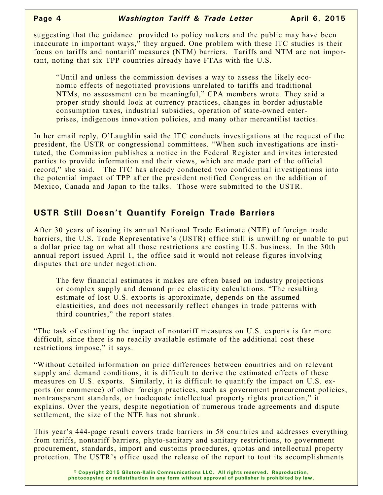suggesting that the guidance provided to policy makers and the public may have been inaccurate in important ways," they argued. One problem with these ITC studies is their focus on tariffs and nontariff measures (NTM) barriers. Tariffs and NTM are not important, noting that six TPP countries already have FTAs with the U.S.

"Until and unless the commission devises a way to assess the likely economic effects of negotiated provisions unrelated to tariffs and traditional NTMs, no assessment can be meaningful," CPA members wrote. They said a proper study should look at currency practices, changes in border adjustable consumption taxes, industrial subsidies, operation of state-owned enterprises, indigenous innovation policies, and many other mercantilist tactics.

In her email reply, O'Laughlin said the ITC conducts investigations at the request of the president, the USTR or congressional committees. "When such investigations are instituted, the Commission publishes a notice in the Federal Register and invites interested parties to provide information and their views, which are made part of the official record," she said. The ITC has already conducted two confidential investigations into the potential impact of TPP after the president notified Congress on the addition of Mexico, Canada and Japan to the talks. Those were submitted to the USTR.

### **USTR Still Doesn't Quantify Foreign Trade Barriers**

After 30 years of issuing its annual National Trade Estimate (NTE) of foreign trade barriers, the U.S. Trade Representative's (USTR) office still is unwilling or unable to put a dollar price tag on what all those restrictions are costing U.S. business. In the 30th annual report issued April 1, the office said it would not release figures involving disputes that are under negotiation.

The few financial estimates it makes are often based on industry projections or complex supply and demand price elasticity calculations. "The resulting estimate of lost U.S. exports is approximate, depends on the assumed elasticities, and does not necessarily reflect changes in trade patterns with third countries," the report states.

"The task of estimating the impact of nontariff measures on U.S. exports is far more difficult, since there is no readily available estimate of the additional cost these restrictions impose," it says.

"Without detailed information on price differences between countries and on relevant supply and demand conditions, it is difficult to derive the estimated effects of these measures on U.S. exports. Similarly, it is difficult to quantify the impact on U.S. exports (or commerce) of other foreign practices, such as government procurement policies, nontransparent standards, or inadequate intellectual property rights protection," it explains. Over the years, despite negotiation of numerous trade agreements and dispute settlement, the size of the NTE has not shrunk.

This year's 444-page result covers trade barriers in 58 countries and addresses everything from tariffs, nontariff barriers, phyto-sanitary and sanitary restrictions, to government procurement, standards, import and customs procedures, quotas and intellectual property protection. The USTR's office used the release of the report to tout its accomplishments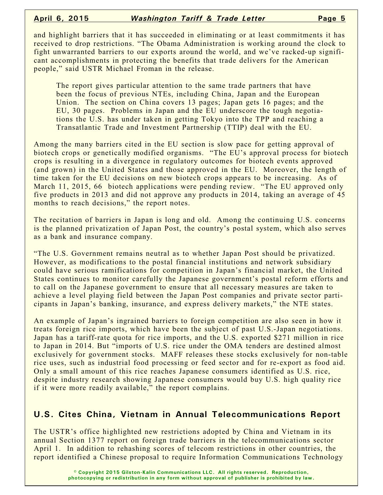and highlight barriers that it has succeeded in eliminating or at least commitments it has received to drop restrictions. "The Obama Administration is working around the clock to fight unwarranted barriers to our exports around the world, and we've racked-up significant accomplishments in protecting the benefits that trade delivers for the American people," said USTR Michael Froman in the release.

The report gives particular attention to the same trade partners that have been the focus of previous NTEs, including China, Japan and the European Union. The section on China covers 13 pages; Japan gets 16 pages; and the EU, 30 pages. Problems in Japan and the EU underscore the tough negotiations the U.S. has under taken in getting Tokyo into the TPP and reaching a Transatlantic Trade and Investment Partnership (TTIP) deal with the EU.

Among the many barriers cited in the EU section is slow pace for getting approval of biotech crops or genetically modified organisms. "The EU's approval process for biotech crops is resulting in a divergence in regulatory outcomes for biotech events approved (and grown) in the United States and those approved in the EU. Moreover, the length of time taken for the EU decisions on new biotech crops appears to be increasing. As of March 11, 2015, 66 biotech applications were pending review. "The EU approved only five products in 2013 and did not approve any products in 2014, taking an average of 45 months to reach decisions," the report notes.

The recitation of barriers in Japan is long and old. Among the continuing U.S. concerns is the planned privatization of Japan Post, the country's postal system, which also serves as a bank and insurance company.

"The U.S. Government remains neutral as to whether Japan Post should be privatized. However, as modifications to the postal financial institutions and network subsidiary could have serious ramifications for competition in Japan's financial market, the United States continues to monitor carefully the Japanese government's postal reform efforts and to call on the Japanese government to ensure that all necessary measures are taken to achieve a level playing field between the Japan Post companies and private sector participants in Japan's banking, insurance, and express delivery markets," the NTE states.

An example of Japan's ingrained barriers to foreign competition are also seen in how it treats foreign rice imports, which have been the subject of past U.S.-Japan negotiations. Japan has a tariff-rate quota for rice imports, and the U.S. exported \$271 million in rice to Japan in 2014. But "imports of U.S. rice under the OMA tenders are destined almost exclusively for government stocks. MAFF releases these stocks exclusively for non-table rice uses, such as industrial food processing or feed sector and for re-export as food aid. Only a small amount of this rice reaches Japanese consumers identified as U.S. rice, despite industry research showing Japanese consumers would buy U.S. high quality rice if it were more readily available," the report complains.

## **U.S. Cites China, Vietnam in Annual Telecommunications Report**

The USTR's office highlighted new restrictions adopted by China and Vietnam in its annual Section 1377 report on foreign trade barriers in the telecommunications sector April 1. In addition to rehashing scores of telecom restrictions in other countries, the report identified a Chinese proposal to require Information Communications Technology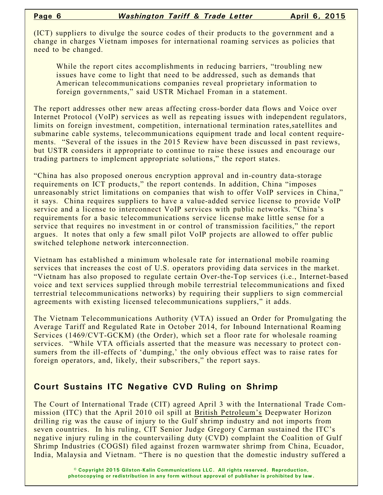(ICT) suppliers to divulge the source codes of their products to the government and a change in charges Vietnam imposes for international roaming services as policies that need to be changed.

While the report cites accomplishments in reducing barriers, "troubling new issues have come to light that need to be addressed, such as demands that American telecommunications companies reveal proprietary information to foreign governments," said USTR Michael Froman in a statement.

The report addresses other new areas affecting cross-border data flows and Voice over Internet Protocol (VoIP) services as well as repeating issues with independent regulators, limits on foreign investment, competition, international termination rates,satellites and submarine cable systems, telecommunications equipment trade and local content requirements. "Several of the issues in the 2015 Review have been discussed in past reviews, but USTR considers it appropriate to continue to raise these issues and encourage our trading partners to implement appropriate solutions," the report states.

"China has also proposed onerous encryption approval and in-country data-storage requirements on ICT products," the report contends. In addition, China "imposes unreasonably strict limitations on companies that wish to offer VoIP services in China," it says. China requires suppliers to have a value-added service license to provide VoIP service and a license to interconnect VoIP services with public networks. "China's requirements for a basic telecommunications service license make little sense for a service that requires no investment in or control of transmission facilities," the report argues. It notes that only a few small pilot VoIP projects are allowed to offer public switched telephone network interconnection.

Vietnam has established a minimum wholesale rate for international mobile roaming services that increases the cost of U.S. operators providing data services in the market. "Vietnam has also proposed to regulate certain Over-the-Top services (i.e., Internet-based voice and text services supplied through mobile terrestrial telecommunications and fixed terrestrial telecommunications networks) by requiring their suppliers to sign commercial agreements with existing licensed telecommunications suppliers," it adds.

The Vietnam Telecommunications Authority (VTA) issued an Order for Promulgating the Average Tariff and Regulated Rate in October 2014, for Inbound International Roaming Services (1469/CVT-GCKM) (the Order), which set a floor rate for wholesale roaming services. "While VTA officials asserted that the measure was necessary to protect consumers from the ill-effects of 'dumping,' the only obvious effect was to raise rates for foreign operators, and, likely, their subscribers," the report says.

## **Court Sustains ITC Negative CVD Ruling on Shrimp**

The Court of International Trade (CIT) agreed April 3 with the International Trade Commission (ITC) that the April 2010 oil spill at British Petroleum's Deepwater Horizon drilling rig was the cause of injury to the Gulf shrimp industry and not imports from seven countries. In his ruling, CIT Senior Judge Gregory Carman sustained the ITC's negative injury ruling in the countervailing duty (CVD) complaint the Coalition of Gulf Shrimp Industries (COGSI) filed against frozen warmwater shrimp from China, Ecuador, India, Malaysia and Vietnam. "There is no question that the domestic industry suffered a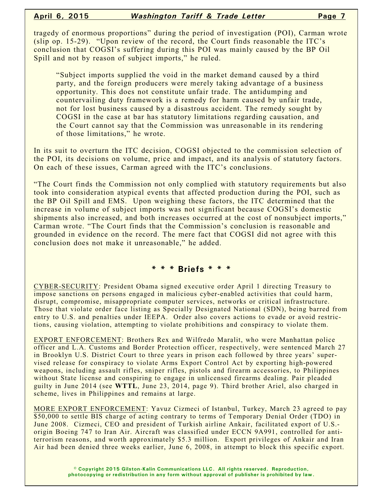tragedy of enormous proportions" during the period of investigation (POI), Carman wrote (slip op. 15-29). "Upon review of the record, the Court finds reasonable the ITC's conclusion that COGSI's suffering during this POI was mainly caused by the BP Oil Spill and not by reason of subject imports," he ruled.

"Subject imports supplied the void in the market demand caused by a third party, and the foreign producers were merely taking advantage of a business opportunity. This does not constitute unfair trade. The antidumping and countervailing duty framework is a remedy for harm caused by unfair trade, not for lost business caused by a disastrous accident. The remedy sought by COGSI in the case at bar has statutory limitations regarding causation, and the Court cannot say that the Commission was unreasonable in its rendering of those limitations," he wrote.

In its suit to overturn the ITC decision, COGSI objected to the commission selection of the POI, its decisions on volume, price and impact, and its analysis of statutory factors. On each of these issues, Carman agreed with the ITC's conclusions.

"The Court finds the Commission not only complied with statutory requirements but also took into consideration atypical events that affected production during the POI, such as the BP Oil Spill and EMS. Upon weighing these factors, the ITC determined that the increase in volume of subject imports was not significant because COGSI's domestic shipments also increased, and both increases occurred at the cost of nonsubject imports," Carman wrote. "The Court finds that the Commission's conclusion is reasonable and grounded in evidence on the record. The mere fact that COGSI did not agree with this conclusion does not make it unreasonable," he added.

#### **\* \* \* Briefs \* \* \***

CYBER-SECURITY: President Obama signed executive order April 1 directing Treasury to impose sanctions on persons engaged in malicious cyber-enabled activities that could harm, disrupt, compromise, misappropriate computer services, networks or critical infrastructure. Those that violate order face listing as Specially Designated National (SDN), being barred from entry to U.S. and penalties under IEEPA. Order also covers actions to evade or avoid restrictions, causing violation, attempting to violate prohibitions and conspiracy to violate them.

EXPORT ENFORCEMENT: Brothers Rex and Wilfredo Maralit, who were Manhattan police officer and L.A. Customs and Border Protection officer, respectively, were sentenced March 27 in Brooklyn U.S. District Court to three years in prison each followed by three years' supervised release for conspiracy to violate Arms Export Control Act by exporting high-powered weapons, including assault rifles, sniper rifles, pistols and firearm accessories, to Philippines without State license and conspiring to engage in unlicensed firearms dealing. Pair pleaded guilty in June 2014 (see **WTTL**, June 23, 2014, page 9). Third brother Ariel, also charged in scheme, lives in Philippines and remains at large.

MORE EXPORT ENFORCEMENT: Yavuz Cizmeci of Istanbul, Turkey, March 23 agreed to pay \$50,000 to settle BIS charge of acting contrary to terms of Temporary Denial Order (TDO) in June 2008. Cizmeci, CEO and president of Turkish airline Ankair, facilitated export of U.S. origin Boeing 747 to Iran Air. Aircraft was classified under ECCN 9A991, controlled for antiterrorism reasons, and worth approximately \$5.3 million. Export privileges of Ankair and Iran Air had been denied three weeks earlier, June 6, 2008, in attempt to block this specific export.